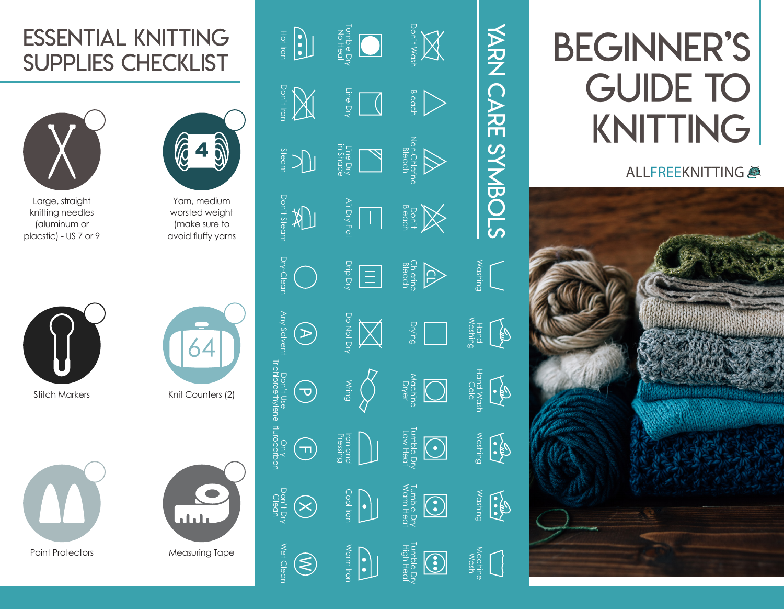# Essential Knitting Supplies Checklist



Large, straight knitting needles (aluminum or placstic) - US 7 or 9



Stitch Markers





Yarn, medium worsted weight (make sure to avoid fluffy yarns

| Knit Counters (2) |  |
|-------------------|--|

 $\bullet$ Clean al al a Measuring Tape

Trichloroethylene

richloroethylene tlurocarbon

flurocarbon

Wet Clea

| <b>Profile</b>                                     | <b>DEBECT</b><br>Tumble Df                                                                                                                                                                                                                                                                                                                          | <b>NA</b>                                                                                        |                           |
|----------------------------------------------------|-----------------------------------------------------------------------------------------------------------------------------------------------------------------------------------------------------------------------------------------------------------------------------------------------------------------------------------------------------|--------------------------------------------------------------------------------------------------|---------------------------|
| <b>BURNEY</b>                                      |                                                                                                                                                                                                                                                                                                                                                     | <b>A</b>                                                                                         |                           |
|                                                    | A<br>Line<br>In Shade<br>In Shade                                                                                                                                                                                                                                                                                                                   | $\bigotimes_{\substack{\text{Non-Chorir} \\ \text{Bleoch} \\ \text{Bleoch}}}$                    |                           |
|                                                    | $\boxed{\Box}$                                                                                                                                                                                                                                                                                                                                      | $\bigotimes_{\substack{\text{Dorit} \ \text{Bessel}}}$                                           |                           |
| $\bigcirc_{\text{by-Gen}}$                         | $\frac{\sqrt{11}}{Drip}$                                                                                                                                                                                                                                                                                                                            | <b>ACLE</b><br>Chlorine<br>Bleach                                                                | <b>BUT KDAA</b>           |
| $\bigoplus_{\substack{\text{Any solvent} \text{}}$ | <b>Production</b>                                                                                                                                                                                                                                                                                                                                   | Drying<br>Drying                                                                                 | Washing<br>Washing        |
| $\bigodot$                                         | $\bigotimes_{\substack{\leq \atop \text{all } \atop \text{all } \atop}} \bigotimes_{\substack{\ell \in \mathbb{N} \\ \ell \neq \ell}}$                                                                                                                                                                                                              | $\left[\bigcup_{\substack{\text{stackedence}\n\text{by}\n\\ \text{for }n\in\mathbb{N}}} \right]$ | <b>Figure Manus Manus</b> |
| $\frac{1}{2}$ (T)                                  | $\begin{array}{c} \displaystyle \bigcap_{\substack{\text{inonsing} \\ \text{leusing}}} \\ \displaystyle \bigcap_{\substack{\text{inonsing} \\ \text{leusing}}} \end{array}$                                                                                                                                                                         | <b>TURNER</b><br>Note<br>Turble Dry<br>Tow Heat                                                  | <b>Rillin</b>             |
| Don't Dry                                          |                                                                                                                                                                                                                                                                                                                                                     | Tumble Dry<br>Warm Heat<br>$\bigodot$                                                            | <b>BUILISON</b>           |
| Wet Clear<br>$\widehat{\mathcal{E}}$               | $\begin{picture}(120,110) \put(0,0){\line(1,0){10}} \put(15,0){\line(1,0){10}} \put(15,0){\line(1,0){10}} \put(15,0){\line(1,0){10}} \put(15,0){\line(1,0){10}} \put(15,0){\line(1,0){10}} \put(15,0){\line(1,0){10}} \put(15,0){\line(1,0){10}} \put(15,0){\line(1,0){10}} \put(15,0){\line(1,0){10}} \put(15,0){\line(1,0){10}} \put(15,0){\line$ | Tumble Dry<br>High Heat<br>$\bigodot$                                                            | Wash<br>Wash              |



Machine Washin<br>Wash

Yarn Care Symbols

YARN CARE SYMBOLS

# BEGINNER'S **GUIDE TO** KNITTING

#### ALLFREEKNITTING